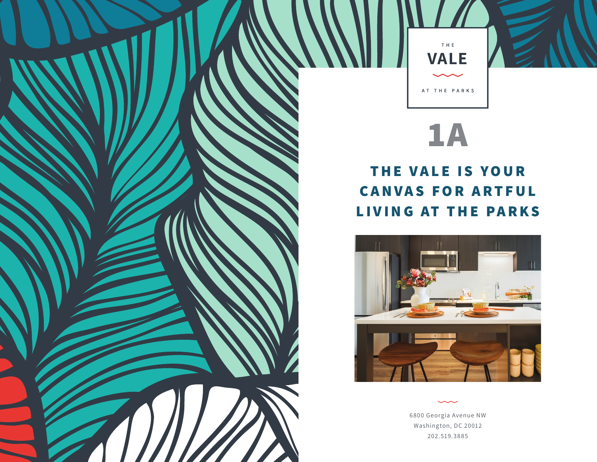

## **1A**

## **THE VALE IS YOUR CANVAS FOR ARTFUL LIVING AT THE PARKS**



6800 Georgia Avenue NW Washington, DC 20012 202.519.3885